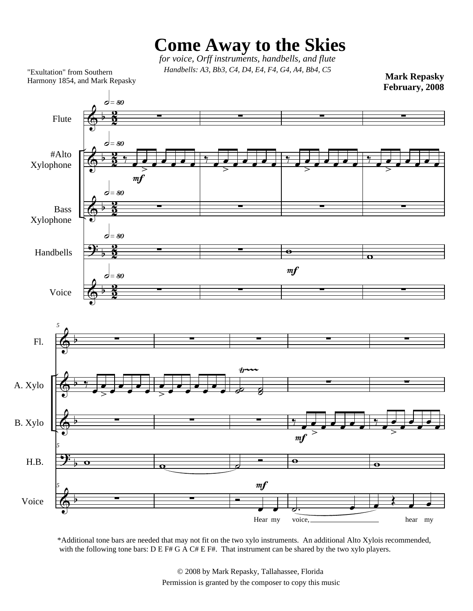## **Come Away to the Skies**

 *for voice, Orff instruments, handbells, and flute Handbells: A3, Bb3, C4, D4, E4, F4, G4, A4, Bb4, C5* "Exultation" from Southern

**Mark Repasky**

Harmony 1854, and Mark Repasky



\*Additional tone bars are needed that may not fit on the two xylo instruments. An additional Alto Xylois recommended, with the following tone bars: D E F# G A C# E F#. That instrument can be shared by the two xylo players.

> © 2008 by Mark Repasky, Tallahassee, Florida Permission is granted by the composer to copy this music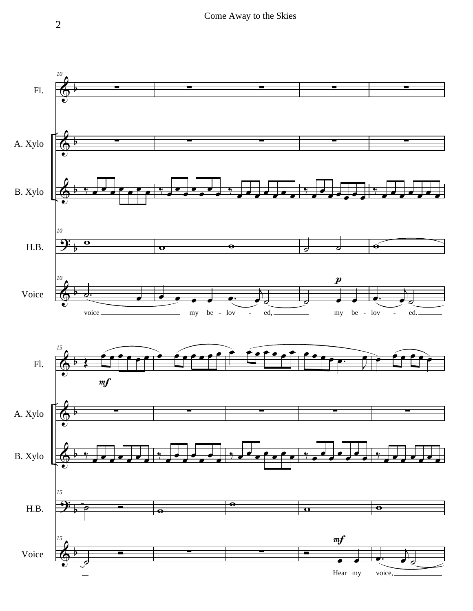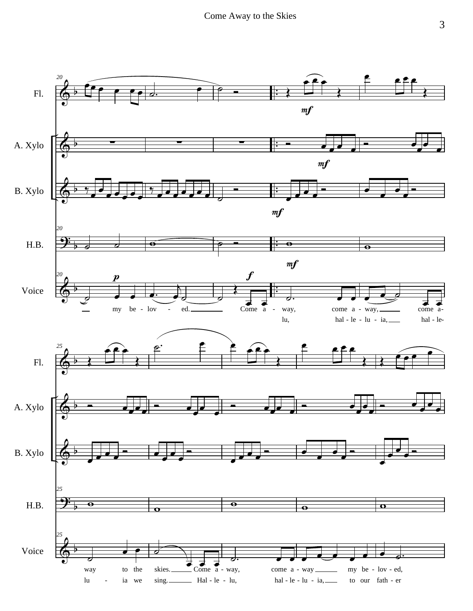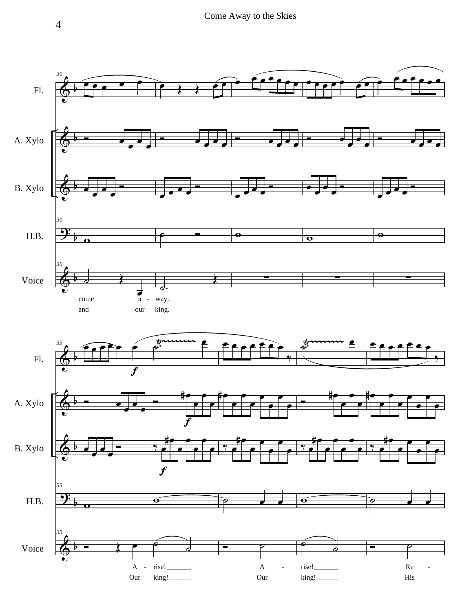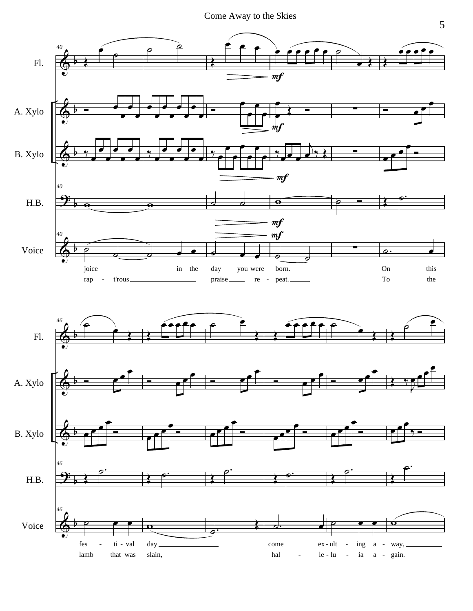

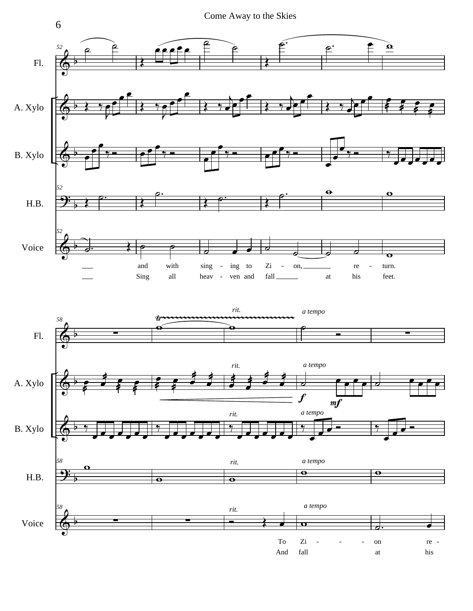



6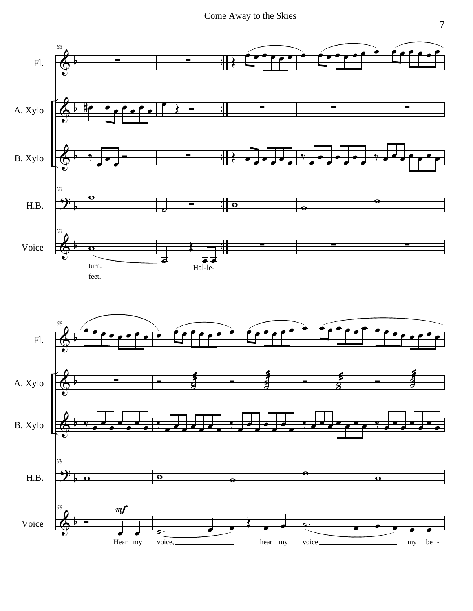